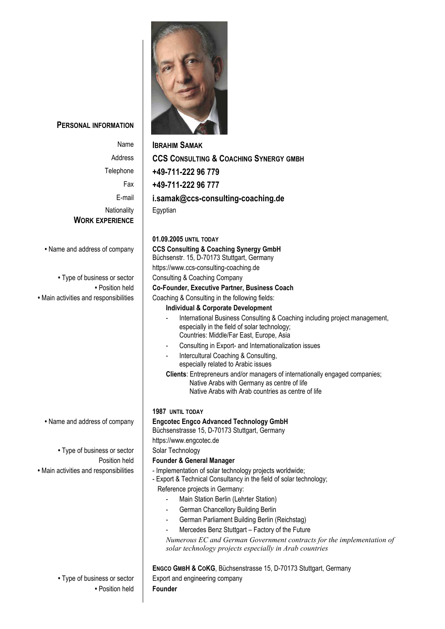

**PERSONAL INFORMATION**

| Name                                   | <b>IBRAHIM SAMAK</b>                                                                              |
|----------------------------------------|---------------------------------------------------------------------------------------------------|
| Address                                | <b>CCS CONSULTING &amp; COACHING SYNERGY GMBH</b>                                                 |
| Telephone                              | +49-711-222 96 779                                                                                |
| Fax                                    | +49-711-222 96 777                                                                                |
| E-mail                                 | i.samak@ccs-consulting-coaching.de                                                                |
| Nationality                            | Egyptian                                                                                          |
| <b>WORK EXPERIENCE</b>                 |                                                                                                   |
|                                        |                                                                                                   |
|                                        | 01.09.2005 UNTIL TODAY                                                                            |
| • Name and address of company          | <b>CCS Consulting &amp; Coaching Synergy GmbH</b><br>Büchsenstr. 15, D-70173 Stuttgart, Germany   |
|                                        | https://www.ccs-consulting-coaching.de                                                            |
| • Type of business or sector           | Consulting & Coaching Company                                                                     |
| • Position held                        | Co-Founder, Executive Partner, Business Coach                                                     |
| • Main activities and responsibilities | Coaching & Consulting in the following fields:                                                    |
|                                        | <b>Individual &amp; Corporate Development</b>                                                     |
|                                        | International Business Consulting & Coaching including project management,                        |
|                                        | especially in the field of solar technology;<br>Countries: Middle/Far East, Europe, Asia          |
|                                        | Consulting in Export- and Internationalization issues<br>$\blacksquare$                           |
|                                        | Intercultural Coaching & Consulting,<br>$\overline{\phantom{a}}$                                  |
|                                        | especially related to Arabic issues                                                               |
|                                        | Clients: Entrepreneurs and/or managers of internationally engaged companies;                      |
|                                        | Native Arabs with Germany as centre of life<br>Native Arabs with Arab countries as centre of life |
|                                        |                                                                                                   |
|                                        | <b>1987 UNTIL TODAY</b>                                                                           |
| • Name and address of company          | <b>Engcotec Engco Advanced Technology GmbH</b>                                                    |
|                                        | Büchsenstrasse 15, D-70173 Stuttgart, Germany                                                     |
| • Type of business or sector           | https://www.engcotec.de<br>Solar Technology                                                       |
| Position held                          | <b>Founder &amp; General Manager</b>                                                              |
| · Main activities and responsibilities | - Implementation of solar technology projects worldwide;                                          |
|                                        | - Export & Technical Consultancy in the field of solar technology;                                |
|                                        | Reference projects in Germany:                                                                    |
|                                        | Main Station Berlin (Lehrter Station)                                                             |
|                                        | German Chancellory Building Berlin                                                                |
|                                        | German Parliament Building Berlin (Reichstag)<br>Mercedes Benz Stuttgart - Factory of the Future  |
|                                        | Numerous EC and German Government contracts for the implementation of                             |
|                                        | solar technology projects especially in Arab countries                                            |
|                                        | ENGCO GMBH & COKG, Büchsenstrasse 15, D-70173 Stuttgart, Germany                                  |
| • Type of business or sector           | Export and engineering company                                                                    |
| • Position held                        | Founder                                                                                           |